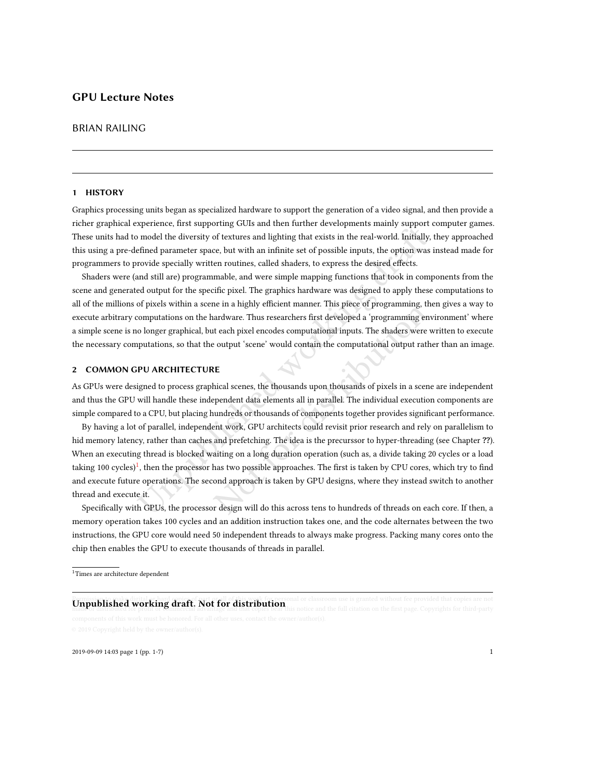# GPU Lecture Notes

## BRIAN RAILING

#### 1 HISTORY

Graphics processing units began as specialized hardware to support the generation of a video signal, and then provide a richer graphical experience, first supporting GUIs and then further developments mainly support computer games. These units had to model the diversity of textures and lighting that exists in the real-world. Initially, they approached this using a pre-defined parameter space, but with an infinite set of possible inputs, the option was instead made for programmers to provide specially written routines, called shaders, to express the desired effects.

Shaders were (and still are) programmable, and were simple mapping functions that took in components from the scene and generated output for the specific pixel. The graphics hardware was designed to apply these computations to all of the millions of pixels within a scene in a highly efficient manner. This piece of programming, then gives a way to execute arbitrary computations on the hardware. Thus researchers first developed a 'programming environment' where a simple scene is no longer graphical, but each pixel encodes computational inputs. The shaders were written to execute the necessary computations, so that the output 'scene' would contain the computational output rather than an image.

### <span id="page-0-1"></span>2 COMMON GPU ARCHITECTURE

As GPUs were designed to process graphical scenes, the thousands upon thousands of pixels in a scene are independent and thus the GPU will handle these independent data elements all in parallel. The individual execution components are simple compared to a CPU, but placing hundreds or thousands of components together provides significant performance.

model the diversipper under and heliant particles in the real-world. Initially, efined parameter space, but with an infinite set of possible inputs, the option was rovide specially written routines, called shaders, to exp Example the internal manner. This piece of programming, the andware. Thus researchers first developed a 'programming envergence of priority teach pixel encodes computational inputs. The shaders were we output 'scene' would By having a lot of parallel, independent work, GPU architects could revisit prior research and rely on parallelism to hid memory latency, rather than caches and prefetching. The idea is the precurssor to hyper-threading (see Chapter ??). When an executing thread is blocked waiting on a long duration operation (such as, a divide taking 20 cycles or a load taking 100 cycles) $^1$ , then the processor has two possible approaches. The first is taken by CPU cores, which try to find and execute future operations. The second approach is taken by GPU designs, where they instead switch to another thread and execute it.

Specifically with GPUs, the processor design will do this across tens to hundreds of threads on each core. If then, a memory operation takes 100 cycles and an addition instruction takes one, and the code alternates between the two instructions, the GPU core would need 50 independent threads to always make progress. Packing many cores onto the chip then enables the GPU to execute thousands of threads in parallel.

# **Unpublished working draft. Not for distribution** big parties on the first state of part of part of a third part or

<span id="page-0-0"></span> $1$ Times are architecture dependent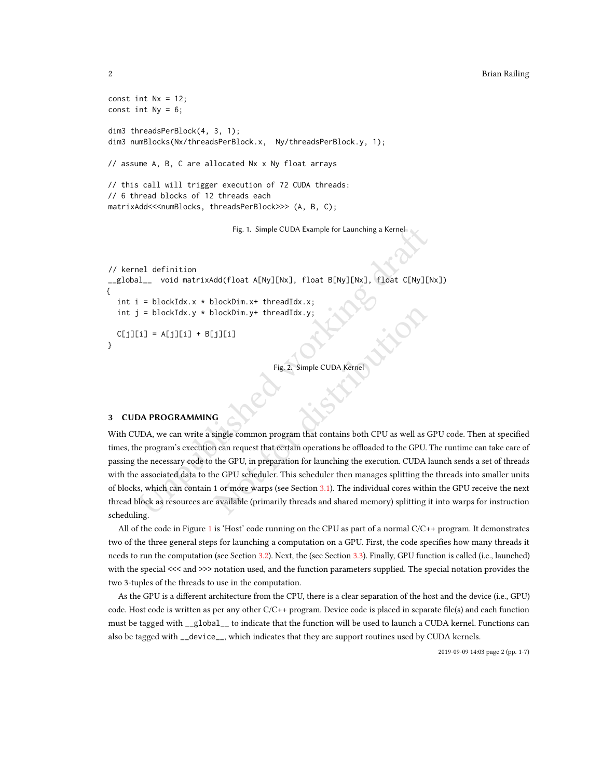#### 2 Brian Railing

```
Fig. 1. Simple CUDA Example for Launching a Kernel<br>
Indulation<br>
Indulation<br>
Indulation<br>
In published (float A[Ny][Nx], float B[Ny][Nx], float C[Ny][N<br>
I = blockIdx.y * blockDim.y+ threadIdx.y;<br>
I = A[j][i] + B[j][i]<br>
Fig. 
const int Nx = 12;
const int Ny = 6;
dim3 threadsPerBlock(4, 3, 1);
dim3 numBlocks(Nx/threadsPerBlock.x, Ny/threadsPerBlock.y, 1);
// assume A, B, C are allocated Nx x Ny float arrays
// this call will trigger execution of 72 CUDA threads:
// 6 thread blocks of 12 threads each
matrixAdd<<<numBlocks, threadsPerBlock>>> (A, B, C);
                                    Fig. 1. Simple CUDA Example for Launching a Kernel
// kernel definition
__global__ void matrixAdd(float A[Ny][Nx], float B[Ny][Nx], float C[Ny][Nx])
{
  int i = blockIdx.x * blockDim.x + threadIdx.x;int j = blockIdx.y * blockDim.y + threadIdx.y;C[j][i] = A[j][i] + B[j][i]}
```
Fig. 2. Simple CUDA Kerne

### 3 CUDA PROGRAMMING

Not Fig. 2. Simple CUDA Kernel<br>
Fig. 2. Simple CUDA Kernel<br>
Fig. 2. Simple CUDA Kernel<br>
G<br>
G<br>
Single common program that contains both CPU as well as G<br>
in can request that certain operations be offloaded to the GPU. T<br>
th With CUDA, we can write a single common program that contains both CPU as well as GPU code. Then at specified times, the program's execution can request that certain operations be offloaded to the GPU. The runtime can take care of passing the necessary code to the GPU, in preparation for launching the execution. CUDA launch sends a set of threads with the associated data to the GPU scheduler. This scheduler then manages splitting the threads into smaller units of blocks, which can contain 1 or more warps (see Section [3.1\)](#page-2-0). The individual cores within the GPU receive the next thread block as resources are available (primarily threads and shared memory) splitting it into warps for instruction scheduling.

All of the code in Figure [1](#page-1-0) is 'Host' code running on the CPU as part of a normal  $C/C++$  program. It demonstrates two of the three general steps for launching a computation on a GPU. First, the code specifies how many threads it needs to run the computation (see Section [3.2\)](#page-2-1). Next, the (see Section [3.3\)](#page-2-2). Finally, GPU function is called (i.e., launched) with the special <<< and >>> notation used, and the function parameters supplied. The special notation provides the two 3-tuples of the threads to use in the computation.

As the GPU is a different architecture from the CPU, there is a clear separation of the host and the device (i.e., GPU) code. Host code is written as per any other C/C++ program. Device code is placed in separate file(s) and each function must be tagged with \_\_global\_\_ to indicate that the function will be used to launch a CUDA kernel. Functions can also be tagged with \_\_device\_\_, which indicates that they are support routines used by CUDA kernels.

2019-09-09 14:03 page 2 (pp. 1-7)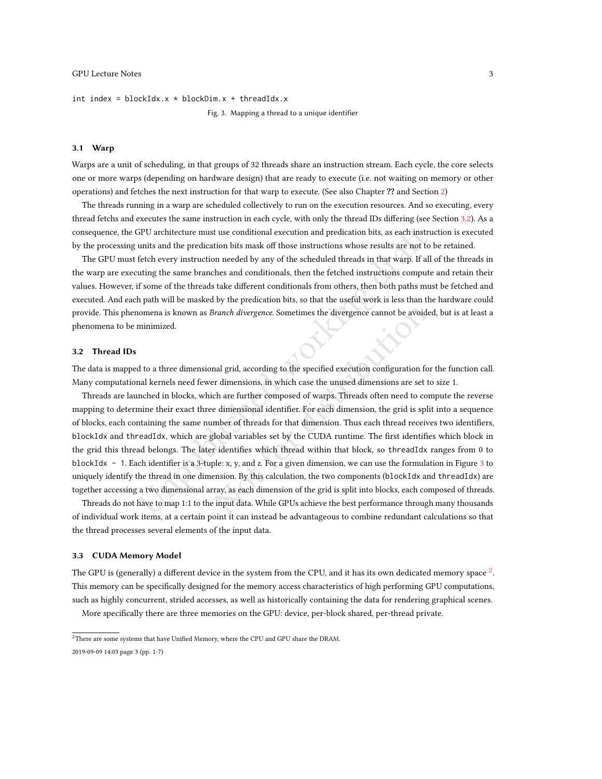<span id="page-2-3"></span>int index =  $blockIdx.x * blockDim.x + threadIdx.x$ 

Fig. 3. Mapping a thread to a unique identifier

#### <span id="page-2-0"></span>3.1 Warp

Warps are a unit of scheduling, in that groups of 32 threads share an instruction stream. Each cycle, the core selects one or more warps (depending on hardware design) that are ready to execute (i.e. not waiting on memory or other operations) and fetches the next instruction for that warp to execute. (See also Chapter ?? and Section [2\)](#page-0-1)

The threads running in a warp are scheduled collectively to run on the execution resources. And so executing, every thread fetchs and executes the same instruction in each cycle, with only the thread IDs differing (see Section [3.2\)](#page-2-1). As a consequence, the GPU architecture must use conditional execution and predication bits, as each instruction is executed by the processing units and the predication bits mask off those instructions whose results are not to be retained.

The GPU must fetch every instruction needed by any of the scheduled threads in that warp. If all of the threads in the warp are executing the same branches and conditionals, then the fetched instructions compute and retain their values. However, if some of the threads take different conditionals from others, then both paths must be fetched and executed. And each path will be masked by the predication bits, so that the useful work is less than the hardware could provide. This phenomena is known as Branch divergence. Sometimes the divergence cannot be avoided, but is at least a phenomena to be minimized.

#### <span id="page-2-1"></span>3.2 Thread IDs

The data is mapped to a three dimensional grid, according to the specified execution configuration for the function call. Many computational kernels need fewer dimensions, in which case the unused dimensions are set to size 1.

GPU architecture must use conditional execution and predication bits, as each instrumits and the predication bits mask off those instructions whose results are not to fetch every instruction needed by any of the scheduled Branch divergence. Sometimes the divergence cannot be avoided<br>and grid, according to the specified execution configuration for<br>r dimensions, in which case the unused dimensions are set to<br>ch are further composed of warps. Threads are launched in blocks, which are further composed of warps. Threads often need to compute the reverse mapping to determine their exact three dimensional identifier. For each dimension, the grid is split into a sequence of blocks, each containing the same number of threads for that dimension. Thus each thread receives two identifiers, blockIdx and threadIdx, which are global variables set by the CUDA runtime. The first identifies which block in the grid this thread belongs. The later identifies which thread within that block, so threadIdx ranges from 0 to blockIdx - 1. Each identifier is a 3-tuple: x, y, and z. For a given dimension, we can use the formulation in Figure [3](#page-2-3) to uniquely identify the thread in one dimension. By this calculation, the two components (blockIdx and threadIdx) are together accessing a two dimensional array, as each dimension of the grid is split into blocks, each composed of threads.

Threads do not have to map 1:1 to the input data. While GPUs achieve the best performance through many thousands of individual work items, at a certain point it can instead be advantageous to combine redundant calculations so that the thread processes several elements of the input data.

#### <span id="page-2-2"></span>3.3 CUDA Memory Model

The GPU is (generally) a different device in the system from the CPU, and it has its own dedicated memory space  $^2$  $^2$ . This memory can be specifically designed for the memory access characteristics of high performing GPU computations, such as highly concurrent, strided accesses, as well as historically containing the data for rendering graphical scenes.

More specifically there are three memories on the GPU: device, per-block shared, per-thread private.

2019-09-09 14:03 page 3 (pp. 1-7)

<span id="page-2-4"></span><sup>&</sup>lt;sup>2</sup>There are some systems that have Unified Memory, where the CPU and GPU share the DRAM.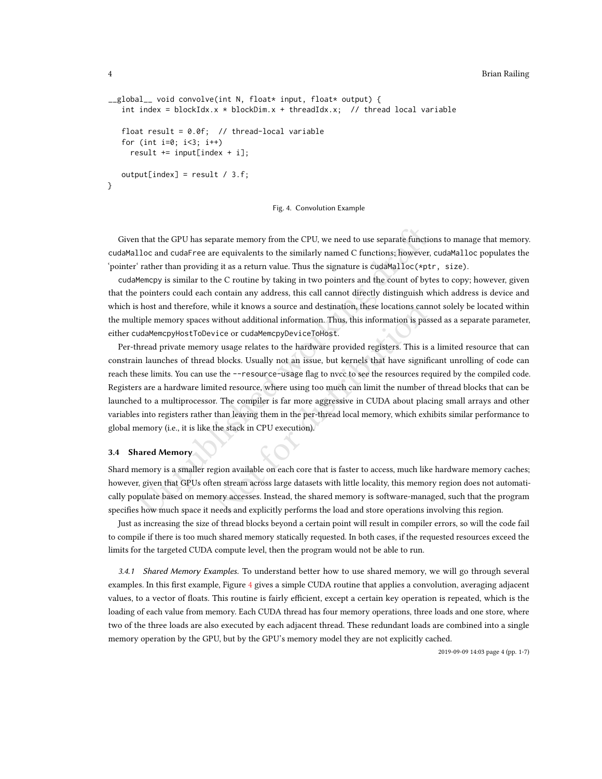```
__global__ void convolve(int N, float* input, float* output) {
   int index = blockIdx.x * blockDim.x + threadIdx.x; // thread local variable
   float result = 0.0f; // thread-local variable
   for (int i=0; i<3; i++)result += input[index + i];
   output[index] = result / 3.f;}
```
Fig. 4. Convolution Example

Given that the GPU has separate memory from the CPU, we need to use separate functions to manage that memory. cudaMalloc and cudaFree are equivalents to the similarly named C functions; however, cudaMalloc populates the 'pointer' rather than providing it as a return value. Thus the signature is cudaMalloc(\*ptr, size).

cudaMemcpy is similar to the C routine by taking in two pointers and the count of bytes to copy; however, given that the pointers could each contain any address, this call cannot directly distinguish which address is device and which is host and therefore, while it knows a source and destination, these locations cannot solely be located within the multiple memory spaces without additional information. Thus, this information is passed as a separate parameter, either cudaMemcpyHostToDevice or cudaMemcpyDeviceToHost.

1) that the GPU has separate memory from the CPU, we need to use separate functions and cudaFree are equivalents to the similarly named C functions; however, 'n rather than providing it as a return value. Thus the signatu while it knows a source and destination, these locations cannewithout additional information. Thus, this information is pass<br>vice or cudaMemcpyDeviceToHost.<br>y usage relates to the hardware provided registers. This is a<br>l b Per-thread private memory usage relates to the hardware provided registers. This is a limited resource that can constrain launches of thread blocks. Usually not an issue, but kernels that have significant unrolling of code can reach these limits. You can use the --resource-usage flag to nvcc to see the resources required by the compiled code. Registers are a hardware limited resource, where using too much can limit the number of thread blocks that can be launched to a multiprocessor. The compiler is far more aggressive in CUDA about placing small arrays and other variables into registers rather than leaving them in the per-thread local memory, which exhibits similar performance to global memory (i.e., it is like the stack in CPU execution).

#### 3.4 Shared Memory

Shard memory is a smaller region available on each core that is faster to access, much like hardware memory caches; however, given that GPUs often stream across large datasets with little locality, this memory region does not automatically populate based on memory accesses. Instead, the shared memory is software-managed, such that the program specifies how much space it needs and explicitly performs the load and store operations involving this region.

Just as increasing the size of thread blocks beyond a certain point will result in compiler errors, so will the code fail to compile if there is too much shared memory statically requested. In both cases, if the requested resources exceed the limits for the targeted CUDA compute level, then the program would not be able to run.

3.4.1 Shared Memory Examples. To understand better how to use shared memory, we will go through several examples. In this first example, Figure [4](#page-3-0) gives a simple CUDA routine that applies a convolution, averaging adjacent values, to a vector of floats. This routine is fairly efficient, except a certain key operation is repeated, which is the loading of each value from memory. Each CUDA thread has four memory operations, three loads and one store, where two of the three loads are also executed by each adjacent thread. These redundant loads are combined into a single memory operation by the GPU, but by the GPU's memory model they are not explicitly cached.

2019-09-09 14:03 page 4 (pp. 1-7)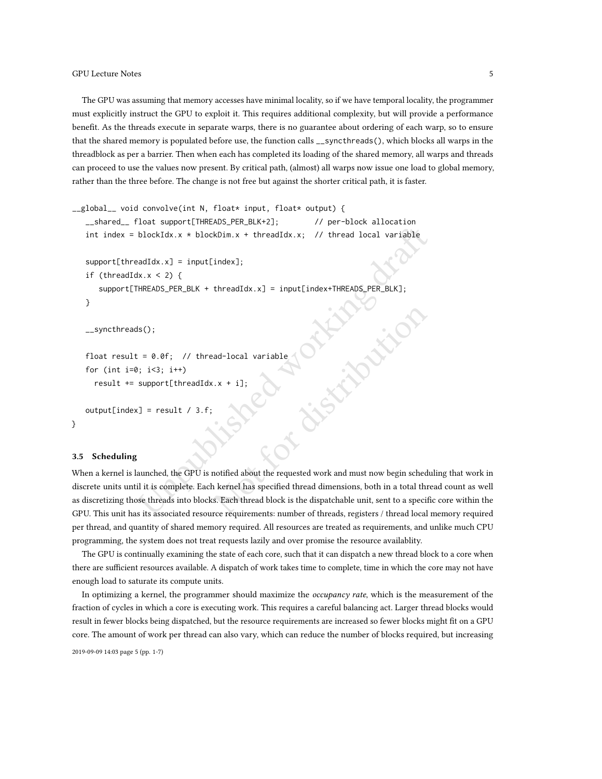The GPU was assuming that memory accesses have minimal locality, so if we have temporal locality, the programmer must explicitly instruct the GPU to exploit it. This requires additional complexity, but will provide a performance benefit. As the threads execute in separate warps, there is no guarantee about ordering of each warp, so to ensure that the shared memory is populated before use, the function calls \_\_syncthreads(), which blocks all warps in the threadblock as per a barrier. Then when each has completed its loading of the shared memory, all warps and threads can proceed to use the values now present. By critical path, (almost) all warps now issue one load to global memory, rather than the three before. The change is not free but against the shorter critical path, it is faster.

```
blockIdx.x * blockDim.x + threadIdx.x; // thread local variable<br>
adIdx.x] = input[index];<br>
\frac{log X}{X}, x < 2) {<br>
HREADS_PER_BLK + threadIdx.x] = input[index+THREADS_PER_BLK];<br>
IS();<br>
\frac{1}{15} = 0.0f; // thread-local var
                                                   ad-local variable<br>
x + i];<br>
x + i];<br>
addiness and the requested work and must now begin schedul<br>
x and the requested thread dimensions, both in a total thread<br>
s. Each thread block is the dispatchable unit, sent to a speci
__global__ void convolve(int N, float* input, float* output) {
     __shared__ float support[THREADS_PER_BLK+2]; // per-block allocation
     int index = blockIdx.x * blockDim.x + threadIdx.x; // thread local variable
     support[threadIdx.x] = input[index];if (threadIdx.x < 2) {
          support[THREADS_PER_BLK + threadIdx.x] = input[index+THREADS_PER_BLK];}
     __syncthreads();
     float result = 0.0f; // thread-local variable
     for (int i=0; i<3; i++)result += support[threadIdx.x + i];
     output[index] = result / 3.f;}
```
#### 3.5 Scheduling

When a kernel is launched, the GPU is notified about the requested work and must now begin scheduling that work in discrete units until it is complete. Each kernel has specified thread dimensions, both in a total thread count as well as discretizing those threads into blocks. Each thread block is the dispatchable unit, sent to a specific core within the GPU. This unit has its associated resource requirements: number of threads, registers / thread local memory required per thread, and quantity of shared memory required. All resources are treated as requirements, and unlike much CPU programming, the system does not treat requests lazily and over promise the resource availablity.

The GPU is continually examining the state of each core, such that it can dispatch a new thread block to a core when there are sufficient resources available. A dispatch of work takes time to complete, time in which the core may not have enough load to saturate its compute units.

In optimizing a kernel, the programmer should maximize the *occupancy rate*, which is the measurement of the fraction of cycles in which a core is executing work. This requires a careful balancing act. Larger thread blocks would result in fewer blocks being dispatched, but the resource requirements are increased so fewer blocks might fit on a GPU core. The amount of work per thread can also vary, which can reduce the number of blocks required, but increasing

2019-09-09 14:03 page 5 (pp. 1-7)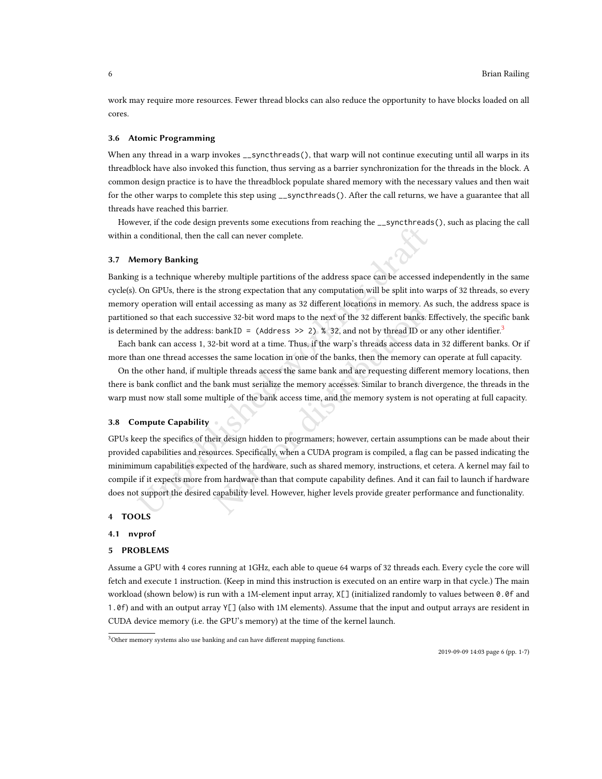work may require more resources. Fewer thread blocks can also reduce the opportunity to have blocks loaded on all cores.

#### 3.6 Atomic Programming

When any thread in a warp invokes \_\_syncthreads(), that warp will not continue executing until all warps in its threadblock have also invoked this function, thus serving as a barrier synchronization for the threads in the block. A common design practice is to have the threadblock populate shared memory with the necessary values and then wait for the other warps to complete this step using \_\_syncthreads(). After the call returns, we have a guarantee that all threads have reached this barrier.

However, if the code design prevents some executions from reaching the \_\_syncthreads(), such as placing the call within a conditional, then the call can never complete.

#### 3.7 Memory Banking

Banking is a technique whereby multiple partitions of the address space can be accessed independently in the same cycle(s). On GPUs, there is the strong expectation that any computation will be split into warps of 32 threads, so every memory operation will entail accessing as many as 32 different locations in memory. As such, the address space is partitioned so that each successive 32-bit word maps to the next of the 32 different banks. Effectively, the specific bank is determined by the address: bankID = (Address >> 2) % [3](#page-5-0)2, and not by thread ID or any other identifier.<sup>3</sup>

Each bank can access 1, 32-bit word at a time. Thus, if the warp's threads access data in 32 different banks. Or if more than one thread accesses the same location in one of the banks, then the memory can operate at full capacity.

On the other hand, if multiple threads access the same bank and are requesting different memory locations, then there is bank conflict and the bank must serialize the memory accesses. Similar to branch divergence, the threads in the warp must now stall some multiple of the bank access time, and the memory system is not operating at full capacity.

#### 3.8 Compute Capability

is a technique whereby multiple partitions of the address space can be accessed<br>on GPUs, there is the strong expectation hat any computation will be split into w<br>operation will entail accessing as many as 32 different loc ratecosing as many as 52 units in the actions in memory. The same of the 32 different banks. E bankID = (Address  $>$  2)  $\frac{1}{6}$  32, and not by thread ID or a 2-bit word at a time. Thus, if the warp's threads access data GPUs keep the specifics of their design hidden to progrmamers; however, certain assumptions can be made about their provided capabilities and resources. Specifically, when a CUDA program is compiled, a flag can be passed indicating the minimimum capabilities expected of the hardware, such as shared memory, instructions, et cetera. A kernel may fail to compile if it expects more from hardware than that compute capability defines. And it can fail to launch if hardware does not support the desired capability level. However, higher levels provide greater performance and functionality.

#### 4 TOOLS

#### 4.1 nvprof

#### 5 PROBLEMS

Assume a GPU with 4 cores running at 1GHz, each able to queue 64 warps of 32 threads each. Every cycle the core will fetch and execute 1 instruction. (Keep in mind this instruction is executed on an entire warp in that cycle.) The main workload (shown below) is run with a 1M-element input array, X[] (initialized randomly to values between 0.0f and 1.0f) and with an output array Y[] (also with 1M elements). Assume that the input and output arrays are resident in CUDA device memory (i.e. the GPU's memory) at the time of the kernel launch.

<span id="page-5-0"></span> $3$ Other memory systems also use banking and can have different mapping functions.